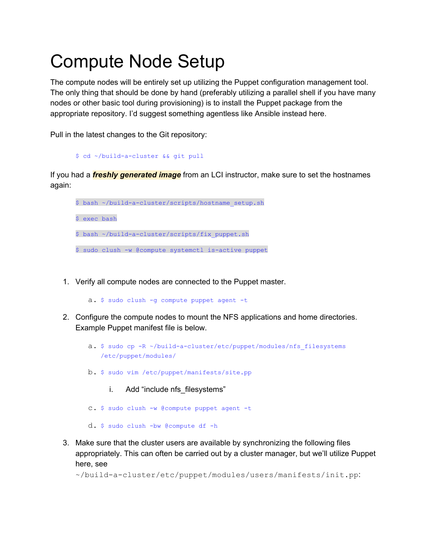# Compute Node Setup

The compute nodes will be entirely set up utilizing the Puppet configuration management tool. The only thing that should be done by hand (preferably utilizing a parallel shell if you have many nodes or other basic tool during provisioning) is to install the Puppet package from the appropriate repository. I'd suggest something agentless like Ansible instead here.

Pull in the latest changes to the Git repository:

```
$ cd ~/build-a-cluster && git pull
```
If you had a *freshly generated image* from an LCI instructor, make sure to set the hostnames again:



1. Verify all compute nodes are connected to the Puppet master.

a. \$ sudo clush -g compute puppet agent -t

- 2. Configure the compute nodes to mount the NFS applications and home directories. Example Puppet manifest file is below.
	- a. \$ sudo cp -R ~/build-a-cluster/etc/puppet/modules/nfs filesystems /etc/puppet/modules/
	- b. \$ sudo vim /etc/puppet/manifests/site.pp
		- i. Add "include nfs filesystems"
	- c. \$ sudo clush -w @compute puppet agent -t
	- d. \$ sudo clush -bw @compute df -h
- 3. Make sure that the cluster users are available by synchronizing the following files appropriately. This can often be carried out by a cluster manager, but we'll utilize Puppet here, see

~/build-a-cluster/etc/puppet/modules/users/manifests/init.pp: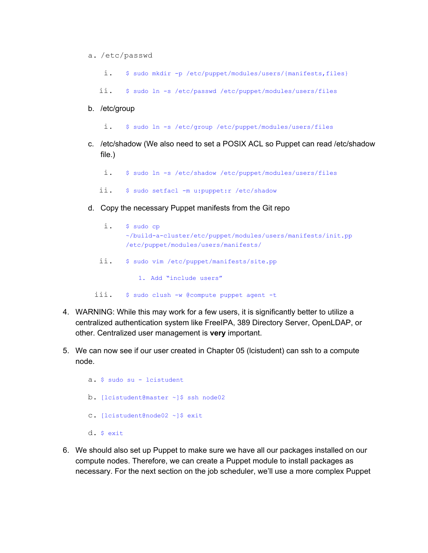#### a. /etc/passwd

i. \$ sudo mkdir -p /etc/puppet/modules/users/{manifests,files}

ii. \$ sudo ln -s /etc/passwd /etc/puppet/modules/users/files

b. /etc/group

i. \$ sudo ln -s /etc/group /etc/puppet/modules/users/files

- c. /etc/shadow (We also need to set a POSIX ACL so Puppet can read /etc/shadow file.)
	- i. \$ sudo ln -s /etc/shadow /etc/puppet/modules/users/files
	- ii. \$ sudo setfacl -m u:puppet:r /etc/shadow
- d. Copy the necessary Puppet manifests from the Git repo

|      | $$$ sudo $cp$<br>~/build-a-cluster/etc/puppet/modules/users/manifests/init.pp<br>/etc/puppet/modules/users/manifests/ |
|------|-----------------------------------------------------------------------------------------------------------------------|
| ii.  | \$ sudo vim /etc/puppet/manifests/site.pp                                                                             |
|      | 1. Add "include users"                                                                                                |
| iii. | $$$ sudo clush $-w$ @compute puppet agent $-t$                                                                        |

- 4. WARNING: While this may work for a few users, it is significantly better to utilize a centralized authentication system like FreeIPA, 389 Directory Server, OpenLDAP, or other. Centralized user management is **very** important.
- 5. We can now see if our user created in Chapter 05 (lcistudent) can ssh to a compute node.
	- a. \$ sudo su lcistudent b. [lcistudent@master ~]\$ ssh node02 c. [lcistudent@node02 ~]\$ exit d. \$ exit
- 6. We should also set up Puppet to make sure we have all our packages installed on our compute nodes. Therefore, we can create a Puppet module to install packages as necessary. For the next section on the job scheduler, we'll use a more complex Puppet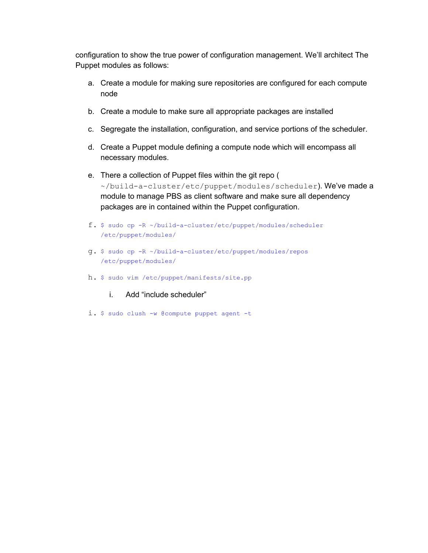configuration to show the true power of configuration management. We'll architect The Puppet modules as follows:

- a. Create a module for making sure repositories are configured for each compute node
- b. Create a module to make sure all appropriate packages are installed
- c. Segregate the installation, configuration, and service portions of the scheduler.
- d. Create a Puppet module defining a compute node which will encompass all necessary modules.
- e. There a collection of Puppet files within the git repo ( ~/build-a-cluster/etc/puppet/modules/scheduler). We've made a module to manage PBS as client software and make sure all dependency packages are in contained within the Puppet configuration.
- f. \$ sudo cp -R ~/build-a-cluster/etc/puppet/modules/scheduler /etc/puppet/modules/
- g. \$ sudo cp -R ~/build-a-cluster/etc/puppet/modules/repos /etc/puppet/modules/
- h. \$ sudo vim /etc/puppet/manifests/site.pp

#### i. Add "include scheduler"

i. \$ sudo clush -w @compute puppet agent -t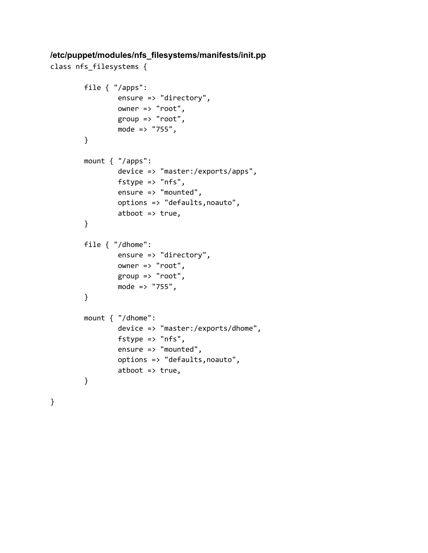### **/etc/puppet/modules/nfs\_filesystems/manifests/init.pp**

```
class nfs_filesystems {
```

```
file { "/apps":
        ensure => "directory",
        owner => "root",
        group \Rightarrow "root",mode => "755",
}
mount { "/apps":
        device => "master:/exports/apps",
        fstype \Rightarrow "nfs",
        ensure => "mounted",
        options => "defaults,noauto",
        atboot \Rightarrow true,}
file { "/dhome":
        ensure => "directory",
        owner => "root",
        group => "root",
        mode => "755",
}
mount { "/dhome":
        device => "master:/exports/dhome",
        fstype => "nfs",
        ensure => "mounted",
        options => "defaults,noauto",
        atboot \Rightarrow true,
}
```
}